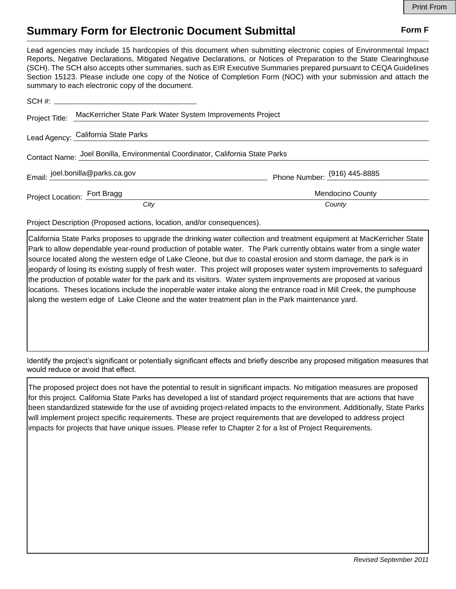## **Summary Form for Electronic Document Submittal Form F Form F**

Lead agencies may include 15 hardcopies of this document when submitting electronic copies of Environmental Impact Reports, Negative Declarations, Mitigated Negative Declarations, or Notices of Preparation to the State Clearinghouse (SCH). The SCH also accepts other summaries, such as EIR Executive Summaries prepared pursuant to CEQA Guidelines Section 15123. Please include one copy of the Notice of Completion Form (NOC) with your submission and attach the summary to each electronic copy of the document.

| Project Title:                                                                | MacKerricher State Park Water System Improvements Project |                              |
|-------------------------------------------------------------------------------|-----------------------------------------------------------|------------------------------|
|                                                                               | Lead Agency: California State Parks                       |                              |
| Contact Name: Joel Bonilla, Environmental Coordinator, California State Parks |                                                           |                              |
|                                                                               | Email: joel.bonilla@parks.ca.gov                          | Phone Number: (916) 445-8885 |
| Project Location: Fort Bragg                                                  |                                                           | <b>Mendocino County</b>      |
|                                                                               | City                                                      | County                       |

Project Description (Proposed actions, location, and/or consequences).

California State Parks proposes to upgrade the drinking water collection and treatment equipment at MacKerricher State Park to allow dependable year-round production of potable water. The Park currently obtains water from a single water source located along the western edge of Lake Cleone, but due to coastal erosion and storm damage, the park is in jeopardy of losing its existing supply of fresh water. This project will proposes water system improvements to safeguard the production of potable water for the park and its visitors. Water system improvements are proposed at various locations. Theses locations include the inoperable water intake along the entrance road in Mill Creek, the pumphouse along the western edge of Lake Cleone and the water treatment plan in the Park maintenance yard.

Identify the project's significant or potentially significant effects and briefly describe any proposed mitigation measures that would reduce or avoid that effect.

The proposed project does not have the potential to result in significant impacts. No mitigation measures are proposed for this project. California State Parks has developed a list of standard project requirements that are actions that have been standardized statewide for the use of avoiding project-related impacts to the environment. Additionally, State Parks will implement project specific requirements. These are project requirements that are developed to address project impacts for projects that have unique issues. Please refer to Chapter 2 for a list of Project Requirements.